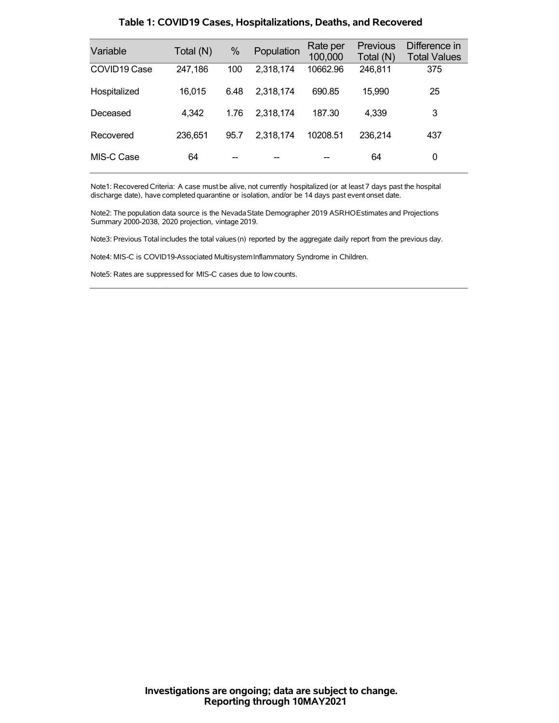| Variable     | Total (N) | %    | Population | Rate per<br>100,000 | <b>Previous</b><br>Total (N) | Difference in<br><b>Total Values</b> |
|--------------|-----------|------|------------|---------------------|------------------------------|--------------------------------------|
| COVID19 Case | 247,186   | 100  | 2,318,174  | 10662.96            | 246,811                      | 375                                  |
| Hospitalized | 16,015    | 6.48 | 2,318,174  | 690.85              | 15,990                       | 25                                   |
| Deceased     | 4,342     | 1.76 | 2,318,174  | 187.30              | 4,339                        | 3                                    |
| Recovered    | 236,651   | 95.7 | 2,318,174  | 10208.51            | 236,214                      | 437                                  |
| MIS-C Case   | 64        |      |            |                     | 64                           | 0                                    |

### **Table 1: COVID19 Cases, Hospitalizations, Deaths, and Recovered**

Note1: Recovered Criteria: A case must be alive, not currently hospitalized (or at least 7 days past the hospital discharge date), have completed quarantine or isolation, and/or be 14 days past event onset date.

Note2: The population data source is the Nevada State Demographer 2019 ASRHOEstimates and Projections Summary 2000-2038, 2020 projection, vintage 2019.

Note3: Previous Total includes the total values(n) reported by the aggregate daily report from the previous day.

Note4: MIS-C is COVID19-Associated MultisystemInflammatory Syndrome in Children.

Note5: Rates are suppressed for MIS-C cases due to low counts.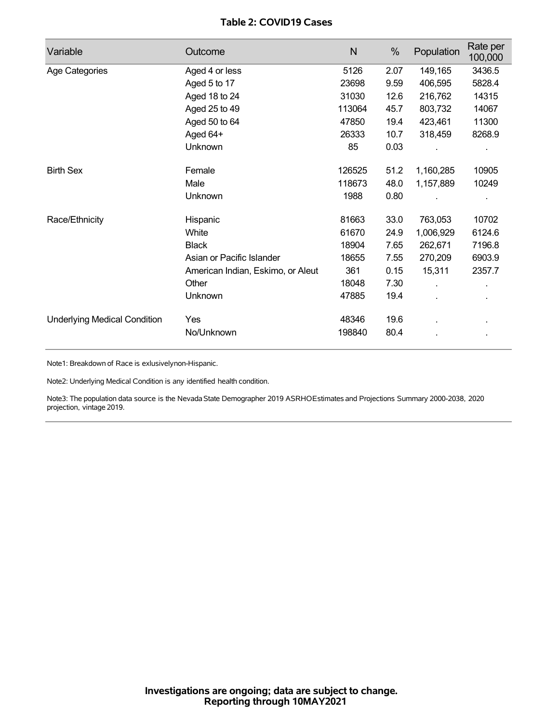## **Table 2: COVID19 Cases**

| Variable                            | Outcome                           | $\mathsf{N}$ | %    | Population | Rate per<br>100,000 |
|-------------------------------------|-----------------------------------|--------------|------|------------|---------------------|
| Age Categories                      | Aged 4 or less                    | 5126         | 2.07 | 149,165    | 3436.5              |
|                                     | Aged 5 to 17                      | 23698        | 9.59 | 406,595    | 5828.4              |
|                                     | Aged 18 to 24                     | 31030        | 12.6 | 216,762    | 14315               |
|                                     | Aged 25 to 49                     | 113064       | 45.7 | 803,732    | 14067               |
|                                     | Aged 50 to 64                     | 47850        | 19.4 | 423,461    | 11300               |
|                                     | Aged 64+                          | 26333        | 10.7 | 318,459    | 8268.9              |
|                                     | Unknown                           | 85           | 0.03 |            |                     |
| <b>Birth Sex</b>                    | Female                            | 126525       | 51.2 | 1,160,285  | 10905               |
|                                     | Male                              | 118673       | 48.0 | 1,157,889  | 10249               |
|                                     | Unknown                           | 1988         | 0.80 |            |                     |
| Race/Ethnicity                      | Hispanic                          | 81663        | 33.0 | 763,053    | 10702               |
|                                     | White                             | 61670        | 24.9 | 1,006,929  | 6124.6              |
|                                     | <b>Black</b>                      | 18904        | 7.65 | 262,671    | 7196.8              |
|                                     | Asian or Pacific Islander         | 18655        | 7.55 | 270,209    | 6903.9              |
|                                     | American Indian, Eskimo, or Aleut | 361          | 0.15 | 15,311     | 2357.7              |
|                                     | Other                             | 18048        | 7.30 |            |                     |
|                                     | Unknown                           | 47885        | 19.4 |            |                     |
| <b>Underlying Medical Condition</b> | Yes                               | 48346        | 19.6 |            |                     |
|                                     | No/Unknown                        | 198840       | 80.4 |            |                     |

Note1: Breakdown of Race is exlusivelynon-Hispanic.

Note2: Underlying Medical Condition is any identified health condition.

Note3: The population data source is the NevadaState Demographer 2019 ASRHOEstimates and Projections Summary 2000-2038, 2020 projection, vintage 2019.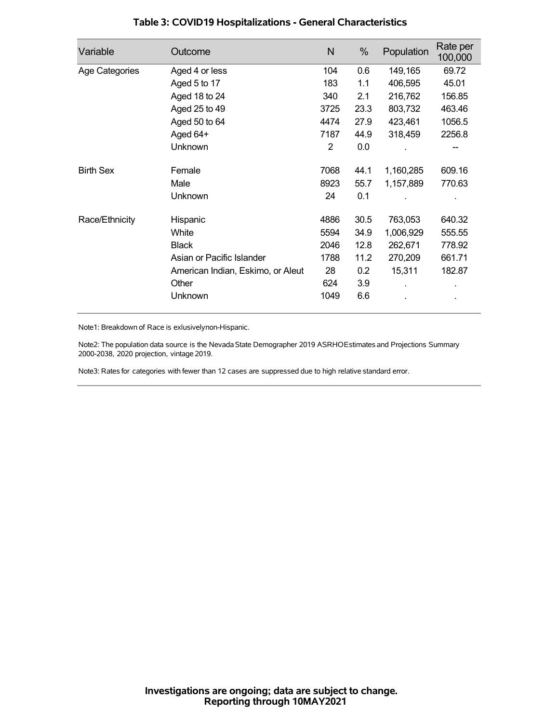| Variable         | Outcome                           | N    | %    | Population | Rate per<br>100,000 |
|------------------|-----------------------------------|------|------|------------|---------------------|
| Age Categories   | Aged 4 or less                    | 104  | 0.6  | 149,165    | 69.72               |
|                  | Aged 5 to 17                      | 183  | 1.1  | 406,595    | 45.01               |
|                  | Aged 18 to 24                     | 340  | 2.1  | 216,762    | 156.85              |
|                  | Aged 25 to 49                     | 3725 | 23.3 | 803,732    | 463.46              |
|                  | Aged 50 to 64                     | 4474 | 27.9 | 423,461    | 1056.5              |
|                  | Aged 64+                          | 7187 | 44.9 | 318,459    | 2256.8              |
|                  | Unknown                           | 2    | 0.0  |            | --                  |
| <b>Birth Sex</b> | Female                            | 7068 | 44.1 | 1,160,285  | 609.16              |
|                  | Male                              | 8923 | 55.7 | 1,157,889  | 770.63              |
|                  | Unknown                           | 24   | 0.1  |            |                     |
| Race/Ethnicity   | Hispanic                          | 4886 | 30.5 | 763,053    | 640.32              |
|                  | White                             | 5594 | 34.9 | 1,006,929  | 555.55              |
|                  | <b>Black</b>                      | 2046 | 12.8 | 262,671    | 778.92              |
|                  | Asian or Pacific Islander         | 1788 | 11.2 | 270,209    | 661.71              |
|                  | American Indian, Eskimo, or Aleut | 28   | 0.2  | 15,311     | 182.87              |
|                  | Other                             | 624  | 3.9  |            |                     |
|                  | Unknown                           | 1049 | 6.6  |            |                     |

## **Table 3: COVID19 Hospitalizations - General Characteristics**

Note1: Breakdown of Race is exlusivelynon-Hispanic.

Note2: The population data source is the Nevada State Demographer 2019 ASRHOEstimates and Projections Summary 2000-2038, 2020 projection, vintage 2019.

Note3: Rates for categories with fewer than 12 cases are suppressed due to high relative standard error.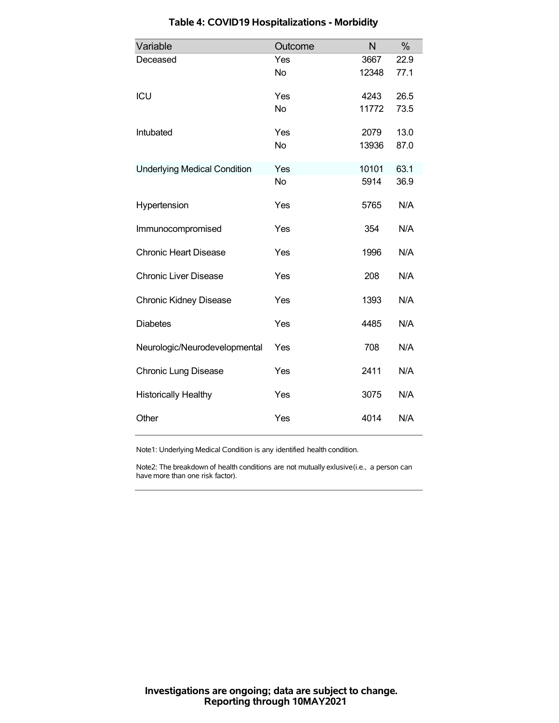| Variable                            | Outcome   | N     | %    |
|-------------------------------------|-----------|-------|------|
| Deceased                            | Yes       | 3667  | 22.9 |
|                                     | <b>No</b> | 12348 | 77.1 |
| ICU                                 | Yes       | 4243  | 26.5 |
|                                     | <b>No</b> | 11772 | 73.5 |
| Intubated                           | Yes       | 2079  | 13.0 |
|                                     | <b>No</b> | 13936 | 87.0 |
| <b>Underlying Medical Condition</b> | Yes       | 10101 | 63.1 |
|                                     | <b>No</b> | 5914  | 36.9 |
| Hypertension                        | Yes       | 5765  | N/A  |
| Immunocompromised                   | Yes       | 354   | N/A  |
| <b>Chronic Heart Disease</b>        | Yes       | 1996  | N/A  |
| <b>Chronic Liver Disease</b>        | Yes       | 208   | N/A  |
| <b>Chronic Kidney Disease</b>       | Yes       | 1393  | N/A  |
| <b>Diabetes</b>                     | Yes       | 4485  | N/A  |
| Neurologic/Neurodevelopmental       | Yes       | 708   | N/A  |
| <b>Chronic Lung Disease</b>         | Yes       | 2411  | N/A  |
| <b>Historically Healthy</b>         | Yes       | 3075  | N/A  |
| Other                               | Yes       | 4014  | N/A  |

# **Table 4: COVID19 Hospitalizations - Morbidity**

Note1: Underlying Medical Condition is any identified health condition.

Note2: The breakdown of health conditions are not mutually exlusive(i.e., a person can have more than one risk factor).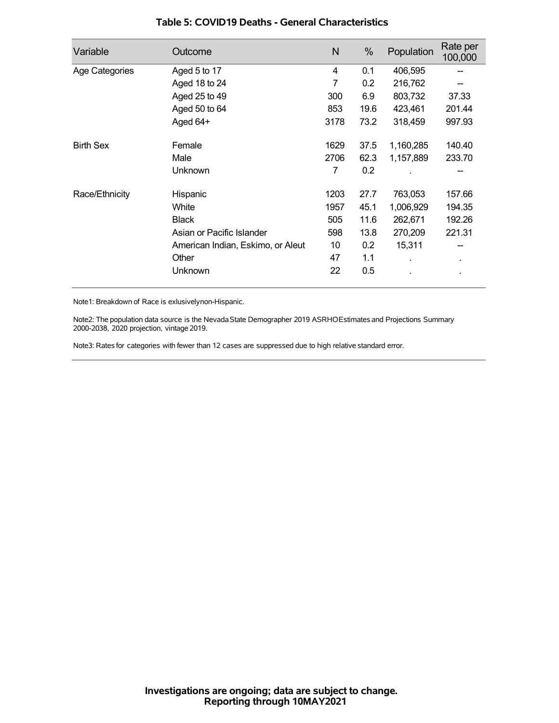| Variable         | Outcome                           | N    | %    | Population | Rate per<br>100,000 |
|------------------|-----------------------------------|------|------|------------|---------------------|
| Age Categories   | Aged 5 to 17                      | 4    | 0.1  | 406,595    |                     |
|                  | Aged 18 to 24                     | 7    | 0.2  | 216,762    |                     |
|                  | Aged 25 to 49                     | 300  | 6.9  | 803,732    | 37.33               |
|                  | Aged 50 to 64                     | 853  | 19.6 | 423,461    | 201.44              |
|                  | Aged 64+                          | 3178 | 73.2 | 318,459    | 997.93              |
| <b>Birth Sex</b> | Female                            | 1629 | 37.5 | 1,160,285  | 140.40              |
|                  | Male                              | 2706 | 62.3 | 1,157,889  | 233.70              |
|                  | Unknown                           | 7    | 0.2  |            |                     |
| Race/Ethnicity   | Hispanic                          | 1203 | 27.7 | 763,053    | 157.66              |
|                  | White                             | 1957 | 45.1 | 1,006,929  | 194.35              |
|                  | <b>Black</b>                      | 505  | 11.6 | 262,671    | 192.26              |
|                  | Asian or Pacific Islander         | 598  | 13.8 | 270,209    | 221.31              |
|                  | American Indian, Eskimo, or Aleut | 10   | 0.2  | 15,311     |                     |
|                  | Other                             | 47   | 1.1  |            | $\blacksquare$      |
|                  | Unknown                           | 22   | 0.5  |            |                     |

### **Table 5: COVID19 Deaths - General Characteristics**

Note1: Breakdown of Race is exlusivelynon-Hispanic.

Note2: The population data source is the Nevada State Demographer 2019 ASRHOEstimates and Projections Summary 2000-2038, 2020 projection, vintage 2019.

Note3: Rates for categories with fewer than 12 cases are suppressed due to high relative standard error.